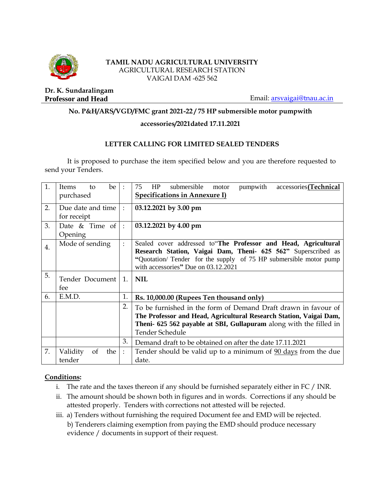

#### **TAMIL NADU AGRICULTURAL UNIVERSITY** AGRICULTURAL RESEARCH STATION VAIGAI DAM -625 562

**Dr. K. Sundaralingam**

**Professor and Head** Email: **arsvaigai@tnau.ac.in** 

## **No. P&H/ARS/VGD/FMC grant 2021-22 / 75 HP submersible motor pumpwith**

#### **accessories/2021dated 17.11.2021**

## **LETTER CALLING FOR LIMITED SEALED TENDERS**

It is proposed to purchase the item specified below and you are therefore requested to send your Tenders.

| 1.               | be<br>Items<br>to<br>purchased   | $\ddot{\phantom{a}}$ | HP<br>submersible<br>accessories(Technical<br>75<br>pumpwith<br>motor<br><b>Specifications in Annexure I)</b>                                                                                                                               |  |  |  |
|------------------|----------------------------------|----------------------|---------------------------------------------------------------------------------------------------------------------------------------------------------------------------------------------------------------------------------------------|--|--|--|
| 2.               | Due date and time<br>for receipt | $\cdot$ :            | 03.12.2021 by 3.00 pm                                                                                                                                                                                                                       |  |  |  |
| 3.               | Date $\&$ Time of<br>Opening     | $\cdot$ :            | 03.12.2021 by 4.00 pm                                                                                                                                                                                                                       |  |  |  |
| $\overline{4}$ . | Mode of sending                  | $\ddot{\cdot}$       | Sealed cover addressed to The Professor and Head, Agricultural<br>Research Station, Vaigai Dam, Theni- 625 562" Superscribed as<br>"Quotation/ Tender for the supply of 75 HP submersible motor pump<br>with accessories" Due on 03.12.2021 |  |  |  |
| 5.               | Tender Document<br>fee           | 1.                   | <b>NIL</b>                                                                                                                                                                                                                                  |  |  |  |
| 6.               | E.M.D.                           | 1.                   | Rs. 10,000.00 (Rupees Ten thousand only)                                                                                                                                                                                                    |  |  |  |
|                  |                                  |                      |                                                                                                                                                                                                                                             |  |  |  |
|                  |                                  | 2.                   | To be furnished in the form of Demand Draft drawn in favour of<br>The Professor and Head, Agricultural Research Station, Vaigai Dam,<br>Theni- 625 562 payable at SBI, Gullapuram along with the filled in<br><b>Tender Schedule</b>        |  |  |  |
|                  |                                  | 3.                   | Demand draft to be obtained on after the date 17.11.2021                                                                                                                                                                                    |  |  |  |

#### **Conditions:**

- i. The rate and the taxes thereon if any should be furnished separately either in FC / INR.
- ii. The amount should be shown both in figures and in words. Corrections if any should be attested properly. Tenders with corrections not attested will be rejected.
- iii. a) Tenders without furnishing the required Document fee and EMD will be rejected. b) Tenderers claiming exemption from paying the EMD should produce necessary evidence / documents in support of their request.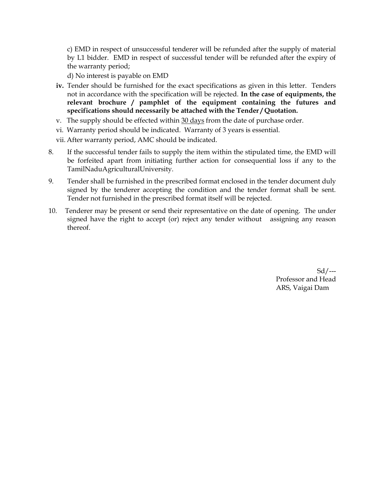c) EMD in respect of unsuccessful tenderer will be refunded after the supply of material by L1 bidder. EMD in respect of successful tender will be refunded after the expiry of the warranty period;

d) No interest is payable on EMD

- **iv.** Tender should be furnished for the exact specifications as given in this letter. Tenders not in accordance with the specification will be rejected. **In the case of equipments, the relevant brochure / pamphlet of the equipment containing the futures and specifications should necessarily be attached with the Tender / Quotation.**
- v. The supply should be effected within 30 days from the date of purchase order.
- vi. Warranty period should be indicated. Warranty of 3 years is essential.
- vii. After warranty period, AMC should be indicated.
- 8. If the successful tender fails to supply the item within the stipulated time, the EMD will be forfeited apart from initiating further action for consequential loss if any to the TamilNaduAgriculturalUniversity.
- 9. Tender shall be furnished in the prescribed format enclosed in the tender document duly signed by the tenderer accepting the condition and the tender format shall be sent. Tender not furnished in the prescribed format itself will be rejected.
- 10. Tenderer may be present or send their representative on the date of opening. The under signed have the right to accept (or) reject any tender without assigning any reason thereof.

Sd/--- Professor and Head ARS, Vaigai Dam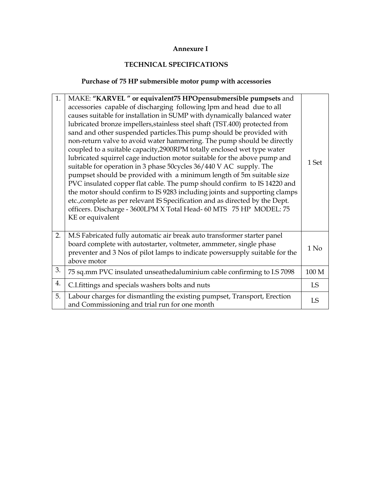#### **Annexure I**

# **TECHNICAL SPECIFICATIONS**

# **Purchase of 75 HP submersible motor pump with accessories**

| 1. | MAKE: "KARVEL" or equivalent75 HPOpensubmersible pumpsets and                                                                                                                                                                                                                                                                                                                                                                                                                                                                                                                                                                                                                                                                                                                                                                                                                                                                                                                                                               |                  |
|----|-----------------------------------------------------------------------------------------------------------------------------------------------------------------------------------------------------------------------------------------------------------------------------------------------------------------------------------------------------------------------------------------------------------------------------------------------------------------------------------------------------------------------------------------------------------------------------------------------------------------------------------------------------------------------------------------------------------------------------------------------------------------------------------------------------------------------------------------------------------------------------------------------------------------------------------------------------------------------------------------------------------------------------|------------------|
|    | accessories capable of discharging following lpm and head due to all<br>causes suitable for installation in SUMP with dynamically balanced water<br>lubricated bronze impellers, stainless steel shaft (TST.400) protected from<br>sand and other suspended particles. This pump should be provided with<br>non-return valve to avoid water hammering. The pump should be directly<br>coupled to a suitable capacity, 2900RPM totally enclosed wet type water<br>lubricated squirrel cage induction motor suitable for the above pump and<br>suitable for operation in 3 phase 50cycles 36/440 V AC supply. The<br>pumpset should be provided with a minimum length of 5m suitable size<br>PVC insulated copper flat cable. The pump should confirm to IS 14220 and<br>the motor should confirm to IS 9283 including joints and supporting clamps<br>etc., complete as per relevant IS Specification and as directed by the Dept.<br>officers. Discharge - 3600LPM X Total Head- 60 MTS 75 HP MODEL: 75<br>KE or equivalent | 1 Set            |
| 2. | M.S Fabricated fully automatic air break auto transformer starter panel<br>board complete with autostarter, voltmeter, ammmeter, single phase<br>preventer and 3 Nos of pilot lamps to indicate powersupply suitable for the<br>above motor                                                                                                                                                                                                                                                                                                                                                                                                                                                                                                                                                                                                                                                                                                                                                                                 | $1$ No           |
| 3. | 75 sq.mm PVC insulated unseathedaluminium cable confirming to I.S 7098                                                                                                                                                                                                                                                                                                                                                                                                                                                                                                                                                                                                                                                                                                                                                                                                                                                                                                                                                      | 100 <sub>M</sub> |
| 4. | C.I.fittings and specials washers bolts and nuts                                                                                                                                                                                                                                                                                                                                                                                                                                                                                                                                                                                                                                                                                                                                                                                                                                                                                                                                                                            | <b>LS</b>        |
| 5. | Labour charges for dismantling the existing pumpset, Transport, Erection<br>and Commissioning and trial run for one month                                                                                                                                                                                                                                                                                                                                                                                                                                                                                                                                                                                                                                                                                                                                                                                                                                                                                                   | LS               |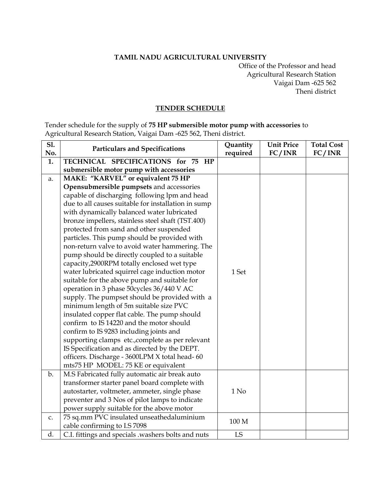#### **TAMIL NADU AGRICULTURAL UNIVERSITY**

Office of the Professor and head Agricultural Research Station Vaigai Dam -625 562 Theni district

#### **TENDER SCHEDULE**

Tender schedule for the supply of **75 HP submersible motor pump with accessories** to Agricultural Research Station, Vaigai Dam -625 562, Theni district.

| S1.<br>No.  | <b>Particulars and Specifications</b>               | Quantity<br>required | <b>Unit Price</b><br>FC/INR | <b>Total Cost</b><br>FC/INR |
|-------------|-----------------------------------------------------|----------------------|-----------------------------|-----------------------------|
| 1.          | TECHNICAL SPECIFICATIONS for 75 HP                  |                      |                             |                             |
|             | submersible motor pump with accessories             |                      |                             |                             |
| a.          | MAKE: "KARVEL" or equivalent 75 HP                  |                      |                             |                             |
|             | Opensubmersible pumpsets and accessories            |                      |                             |                             |
|             | capable of discharging following lpm and head       |                      |                             |                             |
|             | due to all causes suitable for installation in sump |                      |                             |                             |
|             | with dynamically balanced water lubricated          |                      |                             |                             |
|             | bronze impellers, stainless steel shaft (TST.400)   |                      |                             |                             |
|             | protected from sand and other suspended             |                      |                             |                             |
|             | particles. This pump should be provided with        |                      |                             |                             |
|             | non-return valve to avoid water hammering. The      |                      |                             |                             |
|             | pump should be directly coupled to a suitable       |                      |                             |                             |
|             | capacity, 2900RPM totally enclosed wet type         |                      |                             |                             |
|             | water lubricated squirrel cage induction motor      | 1 Set                |                             |                             |
|             | suitable for the above pump and suitable for        |                      |                             |                             |
|             | operation in 3 phase 50cycles 36/440 V AC           |                      |                             |                             |
|             | supply. The pumpset should be provided with a       |                      |                             |                             |
|             | minimum length of 5m suitable size PVC              |                      |                             |                             |
|             | insulated copper flat cable. The pump should        |                      |                             |                             |
|             | confirm to IS 14220 and the motor should            |                      |                             |                             |
|             | confirm to IS 9283 including joints and             |                      |                             |                             |
|             | supporting clamps etc., complete as per relevant    |                      |                             |                             |
|             | IS Specification and as directed by the DEPT.       |                      |                             |                             |
|             | officers. Discharge - 3600LPM X total head- 60      |                      |                             |                             |
|             | mts75 HP MODEL: 75 KE or equivalent                 |                      |                             |                             |
| b.          | M.S Fabricated fully automatic air break auto       |                      |                             |                             |
|             | transformer starter panel board complete with       |                      |                             |                             |
|             | autostarter, voltmeter, ammeter, single phase       | 1 N <sub>0</sub>     |                             |                             |
|             | preventer and 3 Nos of pilot lamps to indicate      |                      |                             |                             |
|             | power supply suitable for the above motor           |                      |                             |                             |
| $C_{\star}$ | 75 sq.mm PVC insulated unseathedaluminium           | 100 M                |                             |                             |
|             | cable confirming to I.S 7098                        |                      |                             |                             |
| d.          | C.I. fittings and specials .washers bolts and nuts  | LS                   |                             |                             |